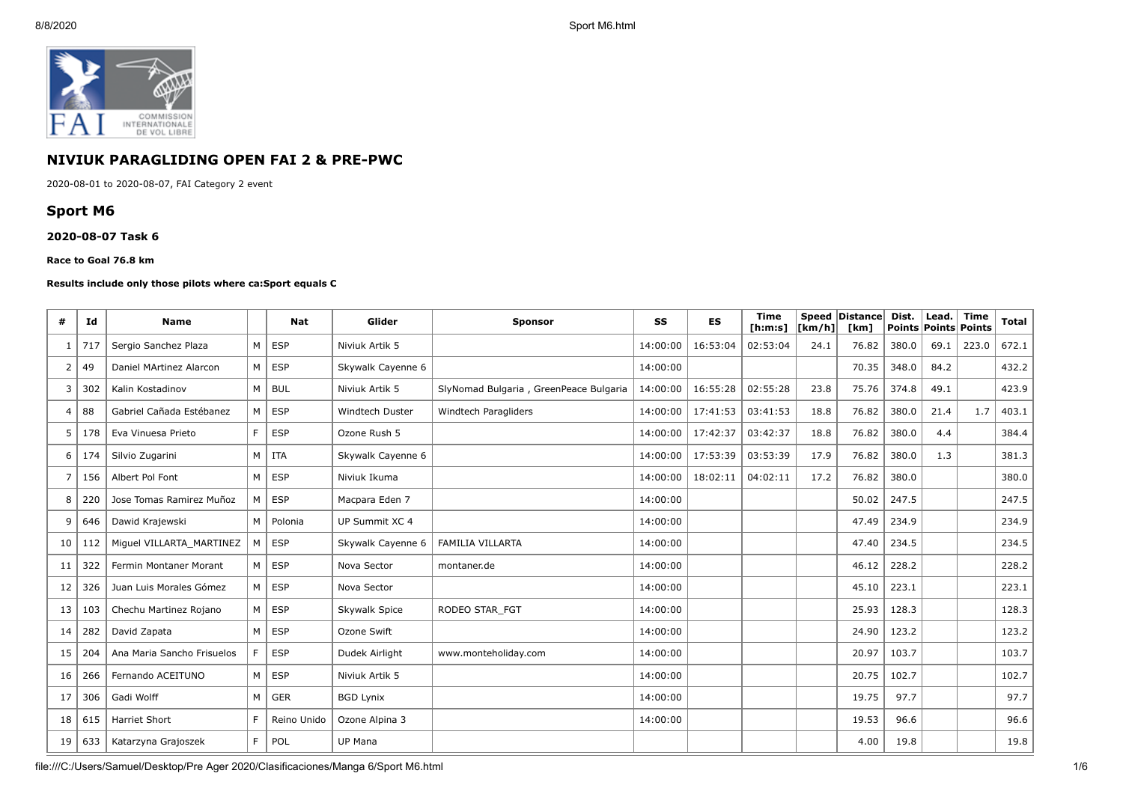

# **NIVIUK PARAGLIDING OPEN FAI 2 & PRE-PWC**

2020-08-01 to 2020-08-07, FAI Category 2 event

# **Sport M6**

#### **2020-08-07 Task 6**

#### **Race to Goal 76.8 km**

#### **Results include only those pilots where ca:Sport equals C**

| #              | Id  | <b>Name</b>                |                | <b>Nat</b>  | Glider                 | <b>Sponsor</b>                         | SS       | ES       | <b>Time</b><br>[ <b>h</b> : <b>m</b> : <b>s</b> ] | [km/h] | Speed Distance<br>[km] | Dist. | Lead.<br><b>Points Points Points</b> | <b>Time</b> | Total |
|----------------|-----|----------------------------|----------------|-------------|------------------------|----------------------------------------|----------|----------|---------------------------------------------------|--------|------------------------|-------|--------------------------------------|-------------|-------|
| 1              | 717 | Sergio Sanchez Plaza       | M              | <b>ESP</b>  | Niviuk Artik 5         |                                        | 14:00:00 | 16:53:04 | 02:53:04                                          | 24.1   | 76.82                  | 380.0 | 69.1                                 | 223.0       | 672.1 |
| 2              | 49  | Daniel MArtinez Alarcon    | M              | <b>ESP</b>  | Skywalk Cayenne 6      |                                        | 14:00:00 |          |                                                   |        | 70.35                  | 348.0 | 84.2                                 |             | 432.2 |
| 3              | 302 | Kalin Kostadinov           | M              | <b>BUL</b>  | Niviuk Artik 5         | SlyNomad Bulgaria, GreenPeace Bulgaria | 14:00:00 | 16:55:28 | 02:55:28                                          | 23.8   | 75.76                  | 374.8 | 49.1                                 |             | 423.9 |
| 4              | 88  | Gabriel Cañada Estébanez   | M              | <b>ESP</b>  | <b>Windtech Duster</b> | Windtech Paragliders                   | 14:00:00 | 17:41:53 | 03:41:53                                          | 18.8   | 76.82                  | 380.0 | 21.4                                 | 1.7         | 403.1 |
| 5              | 178 | Eva Vinuesa Prieto         | E              | <b>ESP</b>  | Ozone Rush 5           |                                        | 14:00:00 | 17:42:37 | 03:42:37                                          | 18.8   | 76.82                  | 380.0 | 4.4                                  |             | 384.4 |
| 6              | 174 | Silvio Zugarini            | M              | <b>ITA</b>  | Skywalk Cayenne 6      |                                        | 14:00:00 | 17:53:39 | 03:53:39                                          | 17.9   | 76.82                  | 380.0 | 1.3                                  |             | 381.3 |
| $\overline{7}$ | 156 | Albert Pol Font            | M              | <b>ESP</b>  | Niviuk Ikuma           |                                        | 14:00:00 | 18:02:11 | 04:02:11                                          | 17.2   | 76.82                  | 380.0 |                                      |             | 380.0 |
| 8              | 220 | Jose Tomas Ramirez Muñoz   | м              | <b>ESP</b>  | Macpara Eden 7         |                                        | 14:00:00 |          |                                                   |        | 50.02                  | 247.5 |                                      |             | 247.5 |
| 9              | 646 | Dawid Krajewski            | M              | Polonia     | UP Summit XC 4         |                                        | 14:00:00 |          |                                                   |        | 47.49                  | 234.9 |                                      |             | 234.9 |
| 10             | 112 | Miquel VILLARTA MARTINEZ   | М              | <b>ESP</b>  | Skywalk Cayenne 6      | <b>FAMILIA VILLARTA</b>                | 14:00:00 |          |                                                   |        | 47.40                  | 234.5 |                                      |             | 234.5 |
| 11             | 322 | Fermin Montaner Morant     | M              | <b>ESP</b>  | Nova Sector            | montaner.de                            | 14:00:00 |          |                                                   |        | 46.12                  | 228.2 |                                      |             | 228.2 |
| 12             | 326 | Juan Luis Morales Gómez    | M              | <b>ESP</b>  | Nova Sector            |                                        | 14:00:00 |          |                                                   |        | 45.10                  | 223.1 |                                      |             | 223.1 |
| 13             | 103 | Chechu Martinez Rojano     | M <sub>1</sub> | <b>ESP</b>  | Skywalk Spice          | RODEO STAR FGT                         | 14:00:00 |          |                                                   |        | 25.93                  | 128.3 |                                      |             | 128.3 |
| 14             | 282 | David Zapata               | M              | <b>ESP</b>  | Ozone Swift            |                                        | 14:00:00 |          |                                                   |        | 24.90                  | 123.2 |                                      |             | 123.2 |
| 15             | 204 | Ana Maria Sancho Frisuelos |                | <b>ESP</b>  | Dudek Airlight         | www.monteholiday.com                   | 14:00:00 |          |                                                   |        | 20.97                  | 103.7 |                                      |             | 103.7 |
| 16             | 266 | Fernando ACEITUNO          | M              | <b>ESP</b>  | Niviuk Artik 5         |                                        | 14:00:00 |          |                                                   |        | 20.75                  | 102.7 |                                      |             | 102.7 |
| 17             | 306 | Gadi Wolff                 | M              | GER         | <b>BGD Lynix</b>       |                                        | 14:00:00 |          |                                                   |        | 19.75                  | 97.7  |                                      |             | 97.7  |
| 18             | 615 | <b>Harriet Short</b>       | E              | Reino Unido | Ozone Alpina 3         |                                        | 14:00:00 |          |                                                   |        | 19.53                  | 96.6  |                                      |             | 96.6  |
| 19             | 633 | Katarzyna Grajoszek        | E              | POL         | UP Mana                |                                        |          |          |                                                   |        | 4.00                   | 19.8  |                                      |             | 19.8  |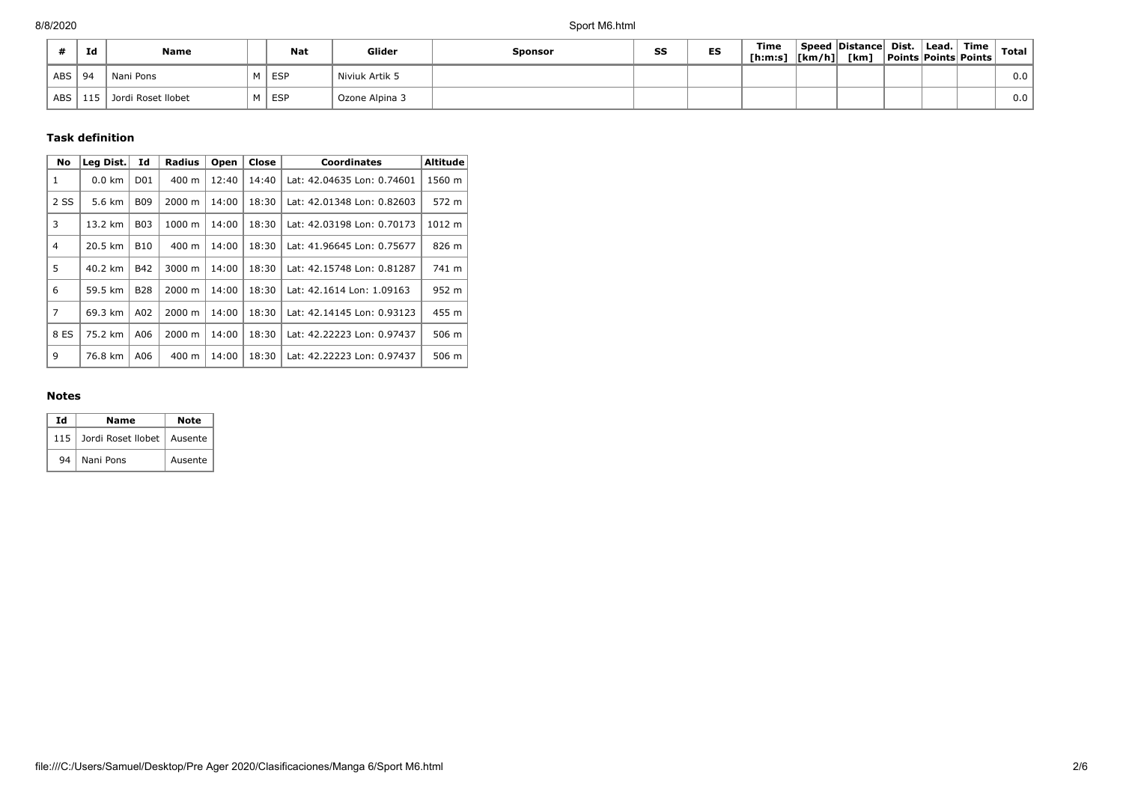|            | Id  | Name               | <b>Nat</b> | Glider         | Sponsor | SS | ES | <b>Time</b><br>[ <b>h</b> : <b>m</b> : <b>s</b> ] | $\vert$ [km/h] $\vert$ | Speed Distance Dist.<br>[km] | Lead. | $^{\circ}$ Time $_{\perp}$<br><b>Points Points Points</b> | <b>Total</b> |
|------------|-----|--------------------|------------|----------------|---------|----|----|---------------------------------------------------|------------------------|------------------------------|-------|-----------------------------------------------------------|--------------|
| ABS        | -94 | Nani Pons          | I ESP      | Niviuk Artik 5 |         |    |    |                                                   |                        |                              |       |                                                           | 0.0          |
| <b>ABS</b> | 115 | Jordi Roset Ilobet | I ESP      | Ozone Alpina 3 |         |    |    |                                                   |                        |                              |       |                                                           | 0.0          |

## **Task definition**

| <b>No</b>      | Leg Dist.        | Id               | <b>Radius</b>   | Open  | Close | <b>Coordinates</b>         | <b>Altitude</b> |
|----------------|------------------|------------------|-----------------|-------|-------|----------------------------|-----------------|
| 1              | $0.0 \text{ km}$ | D <sub>0</sub> 1 | 400 m           | 12:40 | 14:40 | Lat: 42.04635 Lon: 0.74601 | 1560 m          |
| 2 SS           | 5.6 km           | <b>B09</b>       | 2000 m          | 14:00 | 18:30 | Lat: 42.01348 Lon: 0.82603 | 572 m           |
| 3              | 13.2 km          | <b>B03</b>       | 1000 m          | 14:00 | 18:30 | Lat: 42.03198 Lon: 0.70173 | 1012 m          |
| $\overline{4}$ | 20.5 km          | <b>B10</b>       | $400 \text{ m}$ | 14:00 | 18:30 | Lat: 41.96645 Lon: 0.75677 | 826 m           |
| 5              | 40.2 km          | <b>B42</b>       | 3000 m          | 14:00 | 18:30 | Lat: 42.15748 Lon: 0.81287 | 741 m           |
| 6              | 59.5 km          | <b>B28</b>       | 2000 m          | 14:00 | 18:30 | Lat: 42.1614 Lon: 1.09163  | 952 m           |
| $\overline{7}$ | 69.3 km          | A02              | 2000 m          | 14:00 | 18:30 | Lat: 42.14145 Lon: 0.93123 | 455 m           |
| 8 ES           | 75.2 km          | A06              | 2000 m          | 14:00 | 18:30 | Lat: 42.22223 Lon: 0.97437 | 506 m           |
| 9              | 76.8 km          | A06              | $400 \text{ m}$ | 14:00 | 18:30 | Lat: 42.22223 Lon: 0.97437 | 506 m           |

### **Notes**

| Ιd  | Name                         | Note    |  |  |  |
|-----|------------------------------|---------|--|--|--|
| 115 | Jordi Roset Ilobet   Ausente |         |  |  |  |
| 94  | Nani Pons                    | Ausente |  |  |  |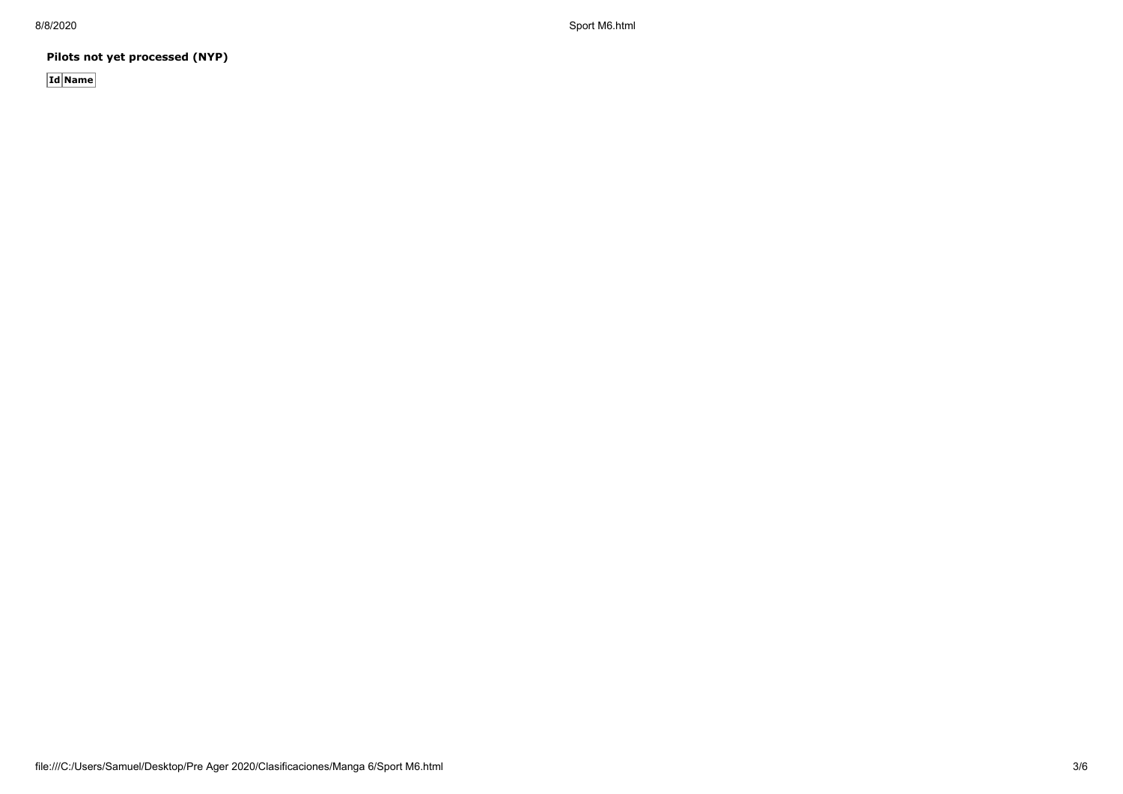8/8/2020 Sport M6.html

**Pilots not yet processed (NYP)**

**Id Name**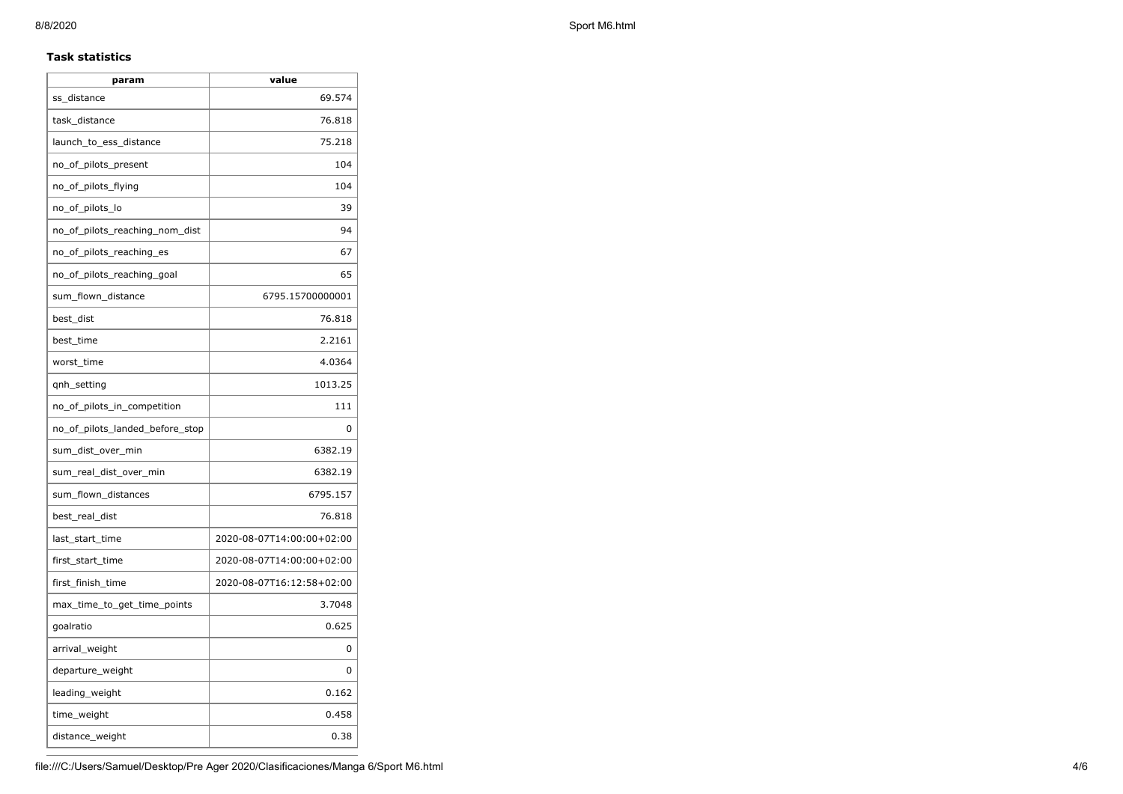### **Task statistics**

| param                           | value                     |
|---------------------------------|---------------------------|
| ss_distance                     | 69.574                    |
| task_distance                   | 76.818                    |
| launch_to_ess_distance          | 75.218                    |
| no_of_pilots_present            | 104                       |
| no_of_pilots_flying             | 104                       |
| no_of_pilots_lo                 | 39                        |
| no_of_pilots_reaching_nom_dist  | 94                        |
| no_of_pilots_reaching_es        | 67                        |
| no of pilots reaching goal      | 65                        |
| sum_flown_distance              | 6795.15700000001          |
| best_dist                       | 76.818                    |
| best_time                       | 2.2161                    |
| worst_time                      | 4.0364                    |
| qnh_setting                     | 1013.25                   |
| no_of_pilots_in_competition     | 111                       |
| no_of_pilots_landed_before_stop | 0                         |
| sum_dist_over_min               | 6382.19                   |
| sum_real_dist_over_min          | 6382.19                   |
| sum_flown_distances             | 6795.157                  |
| best_real_dist                  | 76.818                    |
| last_start_time                 | 2020-08-07T14:00:00+02:00 |
| first_start_time                | 2020-08-07T14:00:00+02:00 |
| first_finish_time               | 2020-08-07T16:12:58+02:00 |
| max_time_to_get_time_points     | 3.7048                    |
| goalratio                       | 0.625                     |
| arrival_weight                  | 0                         |
| departure_weight                | 0                         |
| leading_weight                  | 0.162                     |
| time_weight                     | 0.458                     |
| distance_weight                 | 0.38                      |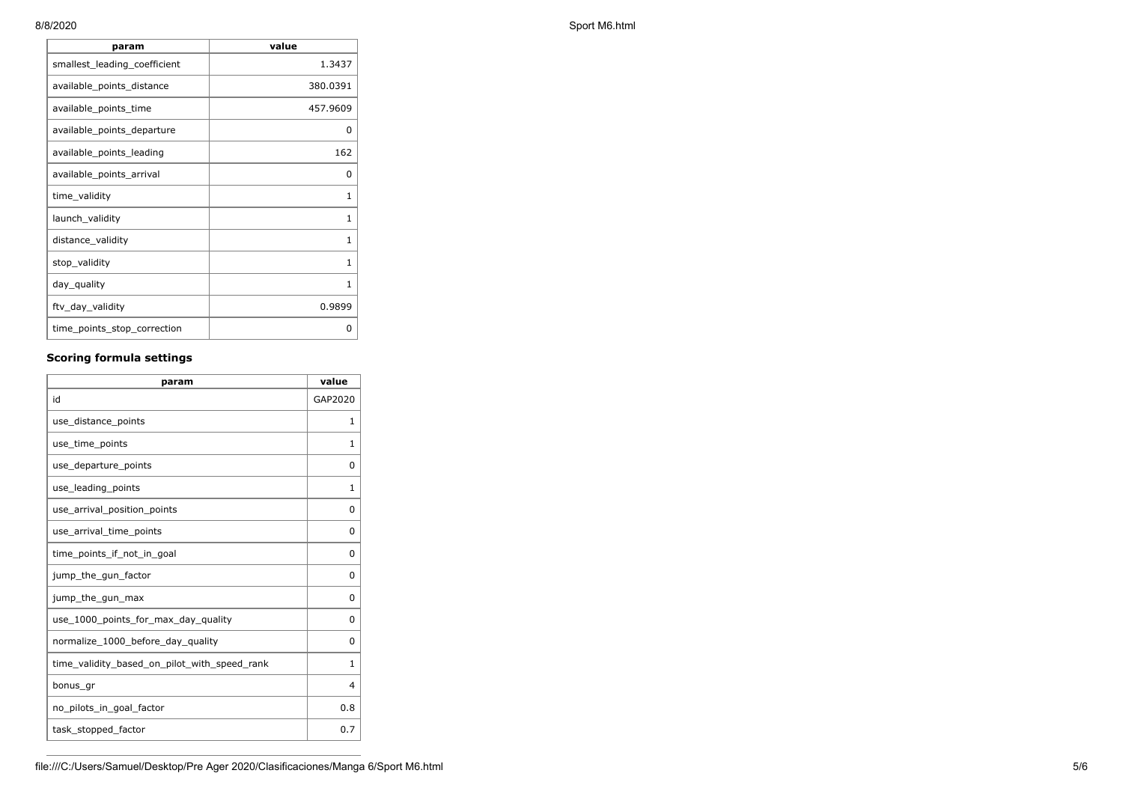| param                        | value        |
|------------------------------|--------------|
| smallest_leading_coefficient | 1.3437       |
| available_points_distance    | 380.0391     |
| available_points_time        | 457.9609     |
| available_points_departure   | 0            |
| available points leading     | 162          |
| available_points_arrival     | 0            |
| time_validity                | 1            |
| launch_validity              | $\mathbf{1}$ |
| distance_validity            | 1            |
| stop_validity                | $\mathbf{1}$ |
| day_quality                  | $\mathbf{1}$ |
| ftv_day_validity             | 0.9899       |
| time_points_stop_correction  | 0            |

## **Scoring formula settings**

| param                                        | value    |
|----------------------------------------------|----------|
| id                                           | GAP2020  |
| use_distance_points                          | 1        |
| use_time_points                              | 1        |
| use_departure_points                         | $\Omega$ |
| use_leading_points                           | 1        |
| use_arrival_position_points                  | 0        |
| use_arrival_time_points                      | 0        |
| time points if not in goal                   | $\Omega$ |
| jump_the_gun_factor                          | $\Omega$ |
| jump_the_gun_max                             | 0        |
| use 1000 points for max day quality          | $\Omega$ |
| normalize_1000_before_day_quality            | 0        |
| time_validity_based_on_pilot_with_speed_rank | 1        |
| bonus_gr                                     | 4        |
| no_pilots_in_goal_factor                     | 0.8      |
| task_stopped_factor                          | 0.7      |

8/8/2020 Sport M6.html